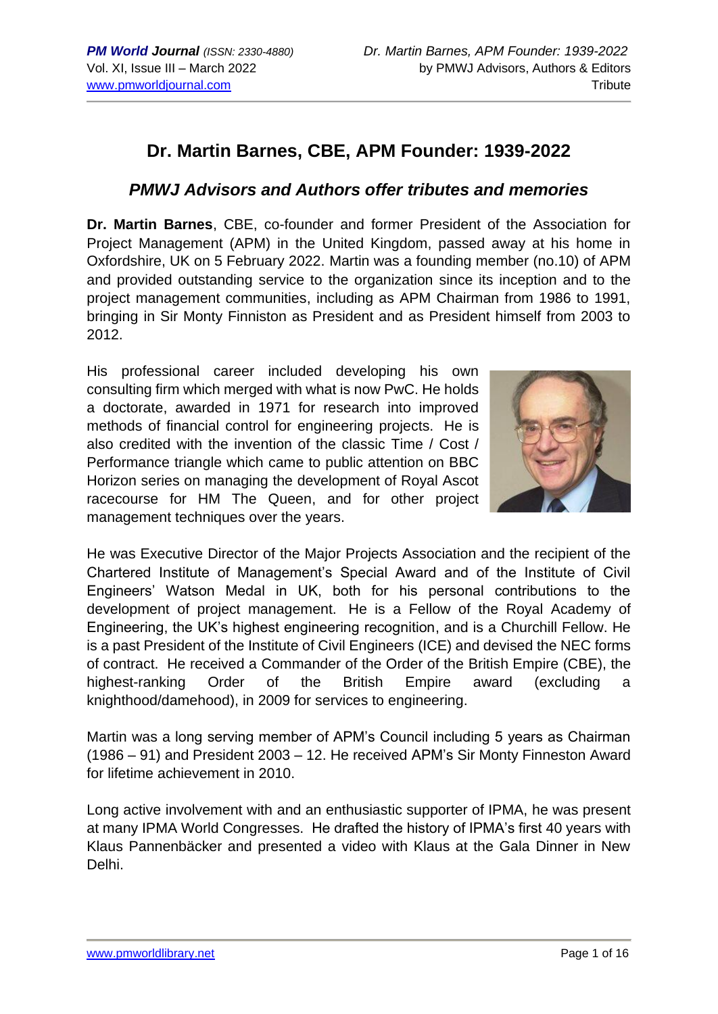# **Dr. Martin Barnes, CBE, APM Founder: 1939-2022**

# *PMWJ Advisors and Authors offer tributes and memories*

**Dr. Martin Barnes**, CBE, co-founder and former President of the Association for Project Management (APM) in the United Kingdom, passed away at his home in Oxfordshire, UK on 5 February 2022. Martin was a founding member (no.10) of APM and provided outstanding service to the organization since its inception and to the project management communities, including as APM Chairman from 1986 to 1991, bringing in Sir Monty Finniston as President and as President himself from 2003 to 2012.

His professional career included developing his own consulting firm which merged with what is now PwC. He holds a doctorate, awarded in 1971 for research into improved methods of financial control for engineering projects. He is also credited with the invention of the classic Time / Cost / Performance triangle which came to public attention on BBC Horizon series on managing the development of Royal Ascot racecourse for HM The Queen, and for other project management techniques over the years.



He was Executive Director of the Major Projects Association and the recipient of the Chartered Institute of Management's Special Award and of the Institute of Civil Engineers' Watson Medal in UK, both for his personal contributions to the development of project management. He is a Fellow of the Royal Academy of Engineering, the UK's highest engineering recognition, and is a Churchill Fellow. He is a past President of the Institute of Civil Engineers (ICE) and devised the NEC forms of contract. He received a Commander of the Order of the British Empire (CBE), the highest-ranking Order of the British Empire award (excluding a knighthood/damehood), in 2009 for services to engineering.

Martin was a long serving member of APM's Council including 5 years as Chairman (1986 – 91) and President 2003 – 12. He received APM's Sir Monty Finneston Award for lifetime achievement in 2010.

Long active involvement with and an enthusiastic supporter of IPMA, he was present at many IPMA World Congresses. He drafted the history of IPMA's first 40 years with Klaus Pannenbäcker and presented a video with Klaus at the Gala Dinner in New Delhi.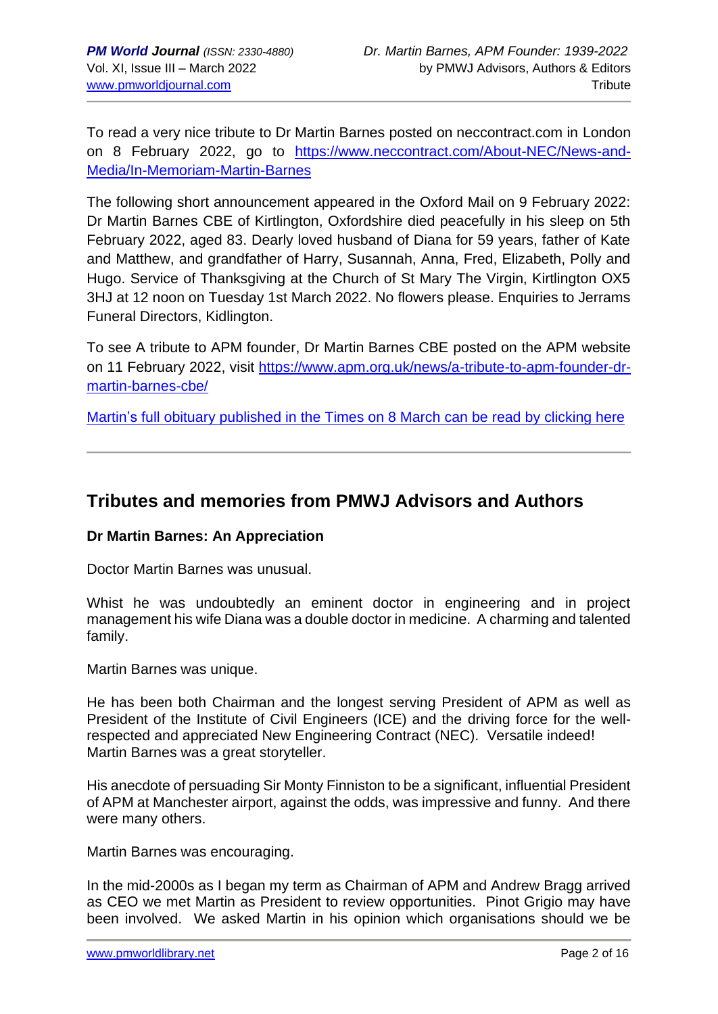To read a very nice tribute to Dr Martin Barnes posted on neccontract.com in London on 8 February 2022, go to [https://www.neccontract.com/About-NEC/News-and-](https://www.neccontract.com/About-NEC/News-and-Media/In-Memoriam-Martin-Barnes)[Media/In-Memoriam-Martin-Barnes](https://www.neccontract.com/About-NEC/News-and-Media/In-Memoriam-Martin-Barnes)

The following short announcement appeared in the Oxford Mail on 9 February 2022: Dr Martin Barnes CBE of Kirtlington, Oxfordshire died peacefully in his sleep on 5th February 2022, aged 83. Dearly loved husband of Diana for 59 years, father of Kate and Matthew, and grandfather of Harry, Susannah, Anna, Fred, Elizabeth, Polly and Hugo. Service of Thanksgiving at the Church of St Mary The Virgin, Kirtlington OX5 3HJ at 12 noon on Tuesday 1st March 2022. No flowers please. Enquiries to Jerrams Funeral Directors, Kidlington.

To see A tribute to APM founder, Dr Martin Barnes CBE posted on the APM website on 11 February 2022, visit [https://www.apm.org.uk/news/a-tribute-to-apm-founder-dr](https://www.apm.org.uk/news/a-tribute-to-apm-founder-dr-martin-barnes-cbe/)[martin-barnes-cbe/](https://www.apm.org.uk/news/a-tribute-to-apm-founder-dr-martin-barnes-cbe/)

Martin's full obituary [published in the Times on 8 March](https://www.thetimes.co.uk/article/martin-barnes-obituary-7qs937vt7?shareToken=f87373a8101890e69860d1d0d134ae59) can be read by clicking here

# **Tributes and memories from PMWJ Advisors and Authors**

# **Dr Martin Barnes: An Appreciation**

Doctor Martin Barnes was unusual.

Whist he was undoubtedly an eminent doctor in engineering and in project management his wife Diana was a double doctor in medicine. A charming and talented family.

Martin Barnes was unique.

He has been both Chairman and the longest serving President of APM as well as President of the Institute of Civil Engineers (ICE) and the driving force for the wellrespected and appreciated New Engineering Contract (NEC). Versatile indeed! Martin Barnes was a great storyteller.

His anecdote of persuading Sir Monty Finniston to be a significant, influential President of APM at Manchester airport, against the odds, was impressive and funny. And there were many others.

Martin Barnes was encouraging.

In the mid-2000s as I began my term as Chairman of APM and Andrew Bragg arrived as CEO we met Martin as President to review opportunities. Pinot Grigio may have been involved. We asked Martin in his opinion which organisations should we be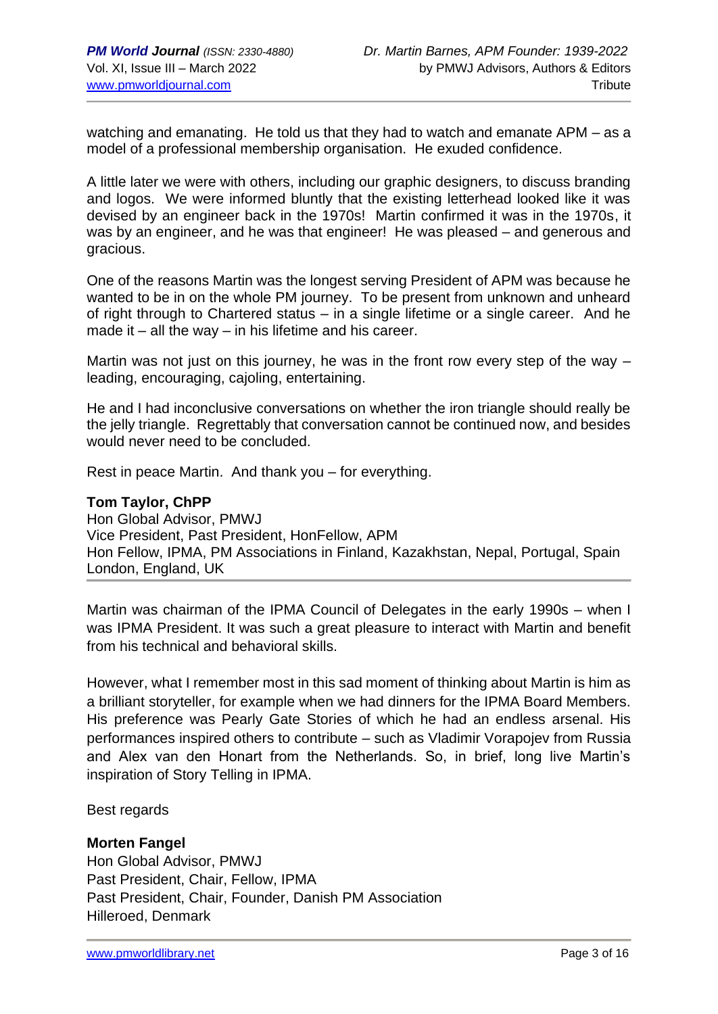watching and emanating. He told us that they had to watch and emanate APM – as a model of a professional membership organisation. He exuded confidence.

A little later we were with others, including our graphic designers, to discuss branding and logos. We were informed bluntly that the existing letterhead looked like it was devised by an engineer back in the 1970s! Martin confirmed it was in the 1970s, it was by an engineer, and he was that engineer! He was pleased – and generous and gracious.

One of the reasons Martin was the longest serving President of APM was because he wanted to be in on the whole PM journey. To be present from unknown and unheard of right through to Chartered status – in a single lifetime or a single career. And he made it – all the way – in his lifetime and his career.

Martin was not just on this journey, he was in the front row every step of the way – leading, encouraging, cajoling, entertaining.

He and I had inconclusive conversations on whether the iron triangle should really be the jelly triangle. Regrettably that conversation cannot be continued now, and besides would never need to be concluded.

Rest in peace Martin. And thank you – for everything.

#### **Tom Taylor, ChPP**

Hon Global Advisor, PMWJ Vice President, Past President, HonFellow, APM Hon Fellow, IPMA, PM Associations in Finland, Kazakhstan, Nepal, Portugal, Spain London, England, UK

Martin was chairman of the IPMA Council of Delegates in the early 1990s – when I was IPMA President. It was such a great pleasure to interact with Martin and benefit from his technical and behavioral skills.

However, what I remember most in this sad moment of thinking about Martin is him as a brilliant storyteller, for example when we had dinners for the IPMA Board Members. His preference was Pearly Gate Stories of which he had an endless arsenal. His performances inspired others to contribute – such as Vladimir Vorapojev from Russia and Alex van den Honart from the Netherlands. So, in brief, long live Martin's inspiration of Story Telling in IPMA.

Best regards

#### **Morten Fangel**

Hon Global Advisor, PMWJ Past President, Chair, Fellow, IPMA Past President, Chair, Founder, Danish PM Association Hilleroed, Denmark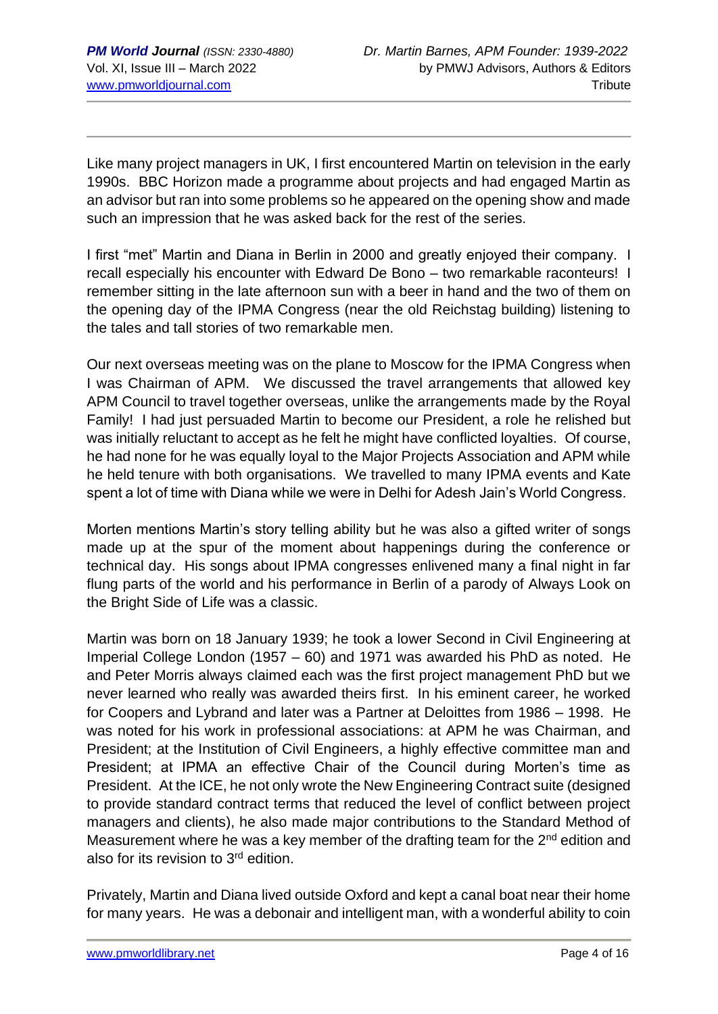Like many project managers in UK, I first encountered Martin on television in the early 1990s. BBC Horizon made a programme about projects and had engaged Martin as an advisor but ran into some problems so he appeared on the opening show and made such an impression that he was asked back for the rest of the series.

I first "met" Martin and Diana in Berlin in 2000 and greatly enjoyed their company. I recall especially his encounter with Edward De Bono – two remarkable raconteurs! I remember sitting in the late afternoon sun with a beer in hand and the two of them on the opening day of the IPMA Congress (near the old Reichstag building) listening to the tales and tall stories of two remarkable men.

Our next overseas meeting was on the plane to Moscow for the IPMA Congress when I was Chairman of APM. We discussed the travel arrangements that allowed key APM Council to travel together overseas, unlike the arrangements made by the Royal Family! I had just persuaded Martin to become our President, a role he relished but was initially reluctant to accept as he felt he might have conflicted loyalties. Of course, he had none for he was equally loyal to the Major Projects Association and APM while he held tenure with both organisations. We travelled to many IPMA events and Kate spent a lot of time with Diana while we were in Delhi for Adesh Jain's World Congress.

Morten mentions Martin's story telling ability but he was also a gifted writer of songs made up at the spur of the moment about happenings during the conference or technical day. His songs about IPMA congresses enlivened many a final night in far flung parts of the world and his performance in Berlin of a parody of Always Look on the Bright Side of Life was a classic.

Martin was born on 18 January 1939; he took a lower Second in Civil Engineering at Imperial College London (1957 – 60) and 1971 was awarded his PhD as noted. He and Peter Morris always claimed each was the first project management PhD but we never learned who really was awarded theirs first. In his eminent career, he worked for Coopers and Lybrand and later was a Partner at Deloittes from 1986 – 1998. He was noted for his work in professional associations: at APM he was Chairman, and President; at the Institution of Civil Engineers, a highly effective committee man and President; at IPMA an effective Chair of the Council during Morten's time as President. At the ICE, he not only wrote the New Engineering Contract suite (designed to provide standard contract terms that reduced the level of conflict between project managers and clients), he also made major contributions to the Standard Method of Measurement where he was a key member of the drafting team for the 2<sup>nd</sup> edition and also for its revision to 3rd edition.

Privately, Martin and Diana lived outside Oxford and kept a canal boat near their home for many years. He was a debonair and intelligent man, with a wonderful ability to coin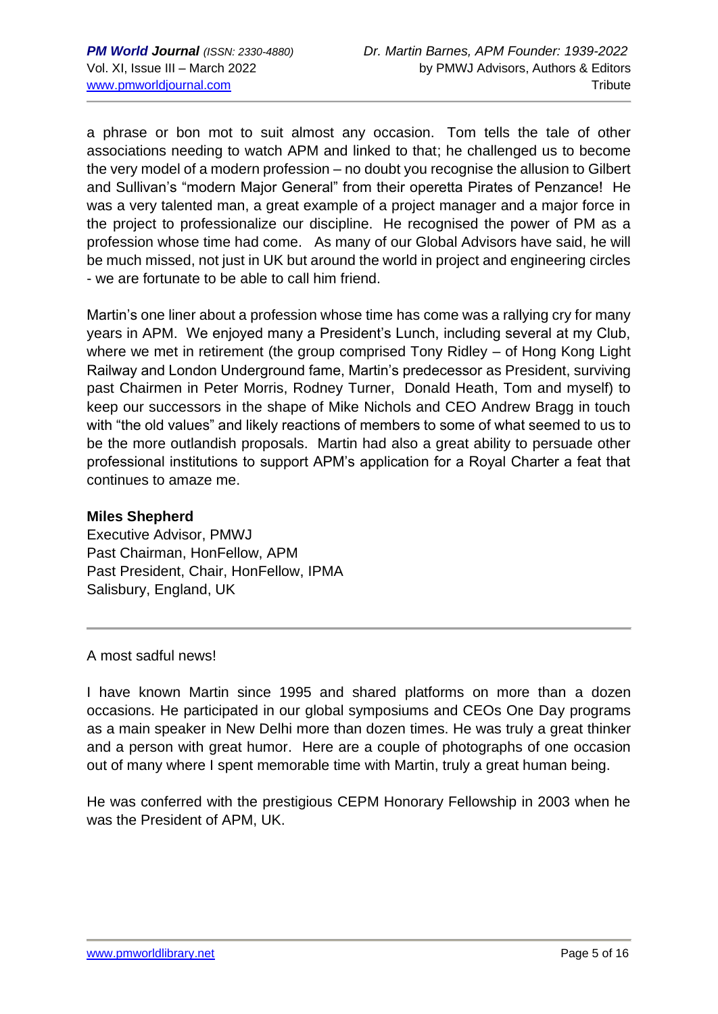a phrase or bon mot to suit almost any occasion. Tom tells the tale of other associations needing to watch APM and linked to that; he challenged us to become the very model of a modern profession – no doubt you recognise the allusion to Gilbert and Sullivan's "modern Major General" from their operetta Pirates of Penzance! He was a very talented man, a great example of a project manager and a major force in the project to professionalize our discipline. He recognised the power of PM as a profession whose time had come. As many of our Global Advisors have said, he will be much missed, not just in UK but around the world in project and engineering circles - we are fortunate to be able to call him friend.

Martin's one liner about a profession whose time has come was a rallying cry for many years in APM. We enjoyed many a President's Lunch, including several at my Club, where we met in retirement (the group comprised Tony Ridley – of Hong Kong Light Railway and London Underground fame, Martin's predecessor as President, surviving past Chairmen in Peter Morris, Rodney Turner, Donald Heath, Tom and myself) to keep our successors in the shape of Mike Nichols and CEO Andrew Bragg in touch with "the old values" and likely reactions of members to some of what seemed to us to be the more outlandish proposals. Martin had also a great ability to persuade other professional institutions to support APM's application for a Royal Charter a feat that continues to amaze me.

#### **Miles Shepherd**

Executive Advisor, PMWJ Past Chairman, HonFellow, APM Past President, Chair, HonFellow, IPMA Salisbury, England, UK

A most sadful news!

I have known Martin since 1995 and shared platforms on more than a dozen occasions. He participated in our global symposiums and CEOs One Day programs as a main speaker in New Delhi more than dozen times. He was truly a great thinker and a person with great humor. Here are a couple of photographs of one occasion out of many where I spent memorable time with Martin, truly a great human being.

He was conferred with the prestigious CEPM Honorary Fellowship in 2003 when he was the President of APM, UK.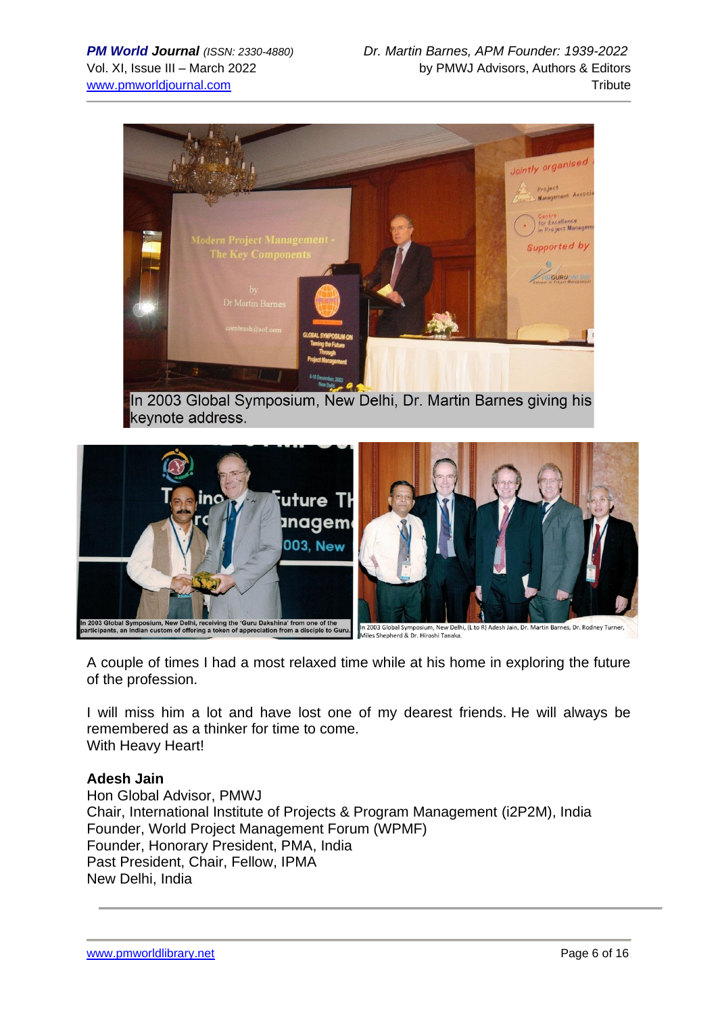

In 2003 Global Symposium, New Delhi, Dr. Martin Barnes giving his keynote address.



A couple of times I had a most relaxed time while at his home in exploring the future of the profession.

I will miss him a lot and have lost one of my dearest friends. He will always be remembered as a thinker for time to come. With Heavy Heart!

#### **Adesh Jain**

Hon Global Advisor, PMWJ Chair, International Institute of Projects & Program Management (i2P2M), India Founder, World Project Management Forum (WPMF) Founder, Honorary President, PMA, India Past President, Chair, Fellow, IPMA New Delhi, India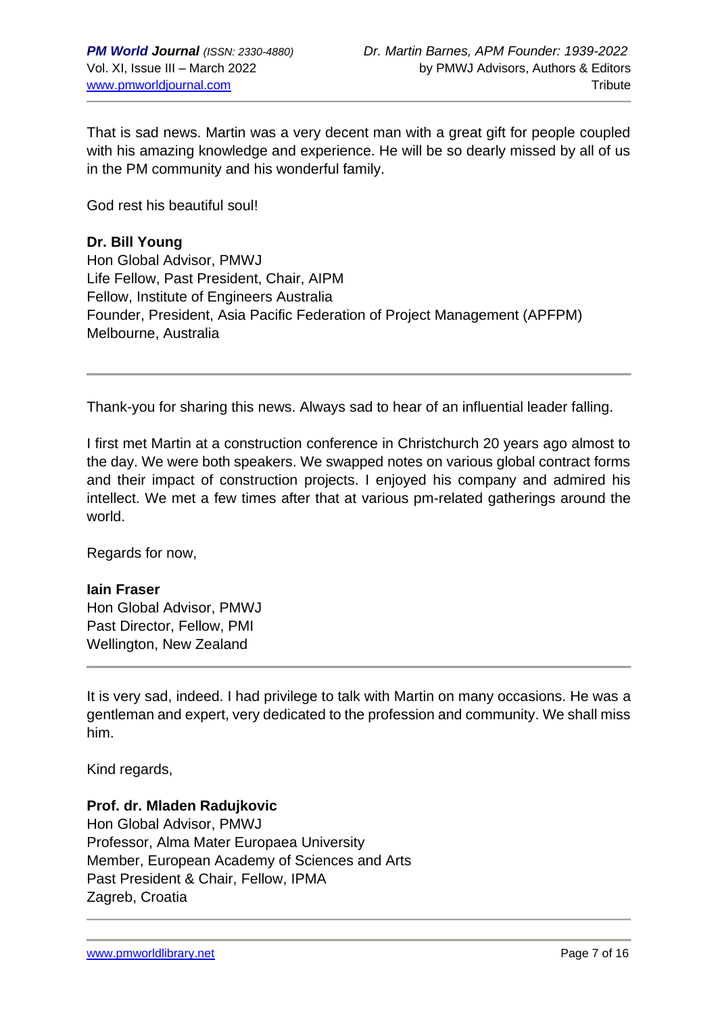That is sad news. Martin was a very decent man with a great gift for people coupled with his amazing knowledge and experience. He will be so dearly missed by all of us in the PM community and his wonderful family.

God rest his beautiful soul!

## **Dr. Bill Young**

Hon Global Advisor, PMWJ Life Fellow, Past President, Chair, AIPM Fellow, Institute of Engineers Australia Founder, President, Asia Pacific Federation of Project Management (APFPM) Melbourne, Australia

Thank-you for sharing this news. Always sad to hear of an influential leader falling.

I first met Martin at a construction conference in Christchurch 20 years ago almost to the day. We were both speakers. We swapped notes on various global contract forms and their impact of construction projects. I enjoyed his company and admired his intellect. We met a few times after that at various pm-related gatherings around the world.

Regards for now,

# **Iain Fraser**

Hon Global Advisor, PMWJ Past Director, Fellow, PMI Wellington, New Zealand

It is very sad, indeed. I had privilege to talk with Martin on many occasions. He was a gentleman and expert, very dedicated to the profession and community. We shall miss him.

Kind regards,

# **Prof. dr. Mladen Radujkovic**

Hon Global Advisor, PMWJ Professor, Alma Mater Europaea University Member, European Academy of Sciences and Arts Past President & Chair, Fellow, IPMA Zagreb, Croatia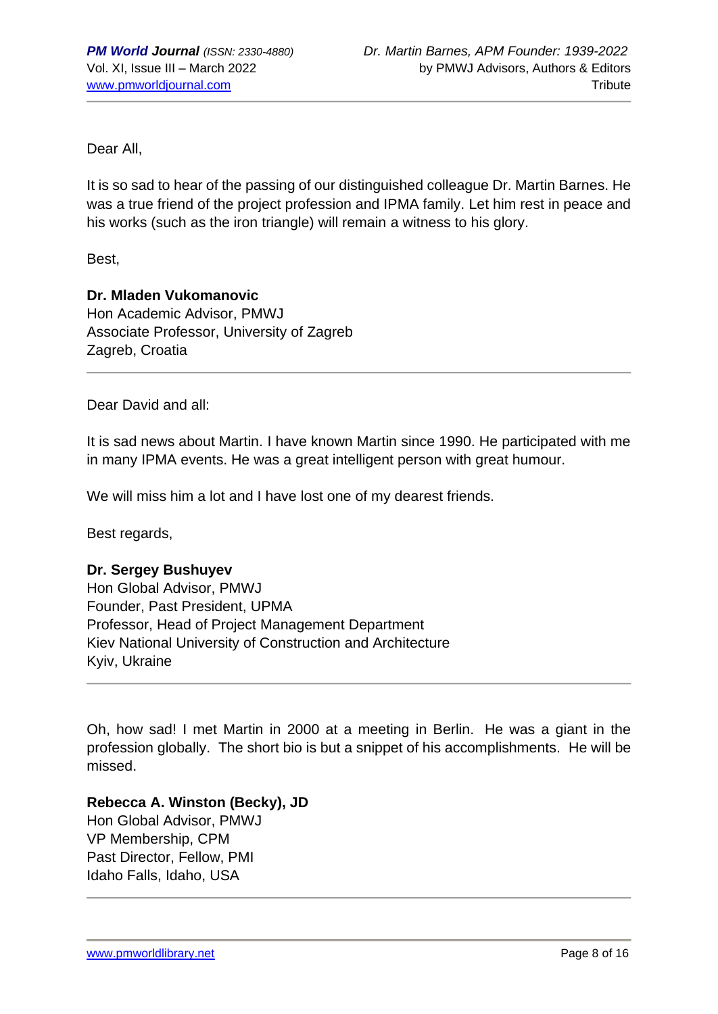Dear All,

It is so sad to hear of the passing of our distinguished colleague Dr. Martin Barnes. He was a true friend of the project profession and IPMA family. Let him rest in peace and his works (such as the iron triangle) will remain a witness to his glory.

Best,

## **Dr. Mladen Vukomanovic**

Hon Academic Advisor, PMWJ Associate Professor, University of Zagreb Zagreb, Croatia

Dear David and all:

It is sad news about Martin. I have known Martin since 1990. He participated with me in many IPMA events. He was a great intelligent person with great humour.

We will miss him a lot and I have lost one of my dearest friends.

Best regards,

#### **Dr. Sergey Bushuyev**

Hon Global Advisor, PMWJ Founder, Past President, UPMA Professor, Head of Project Management Department Kiev National University of Construction and Architecture Kyiv, Ukraine

Oh, how sad! I met Martin in 2000 at a meeting in Berlin. He was a giant in the profession globally. The short bio is but a snippet of his accomplishments. He will be missed.

# **Rebecca A. Winston (Becky), JD**

Hon Global Advisor, PMWJ VP Membership, CPM Past Director, Fellow, PMI Idaho Falls, Idaho, USA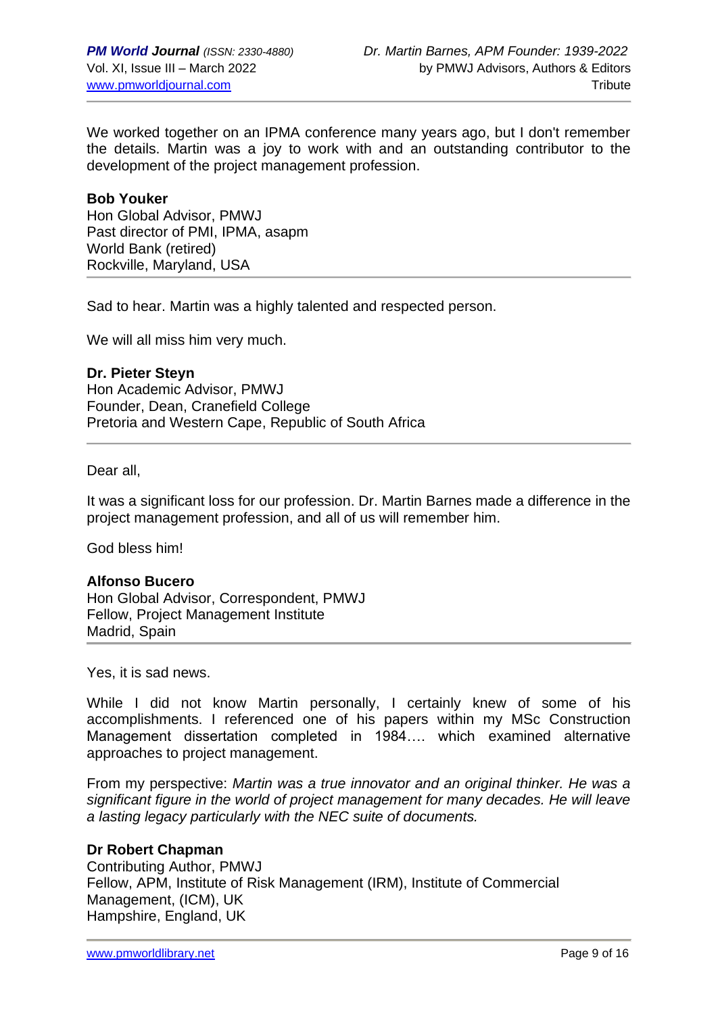We worked together on an IPMA conference many years ago, but I don't remember the details. Martin was a joy to work with and an outstanding contributor to the development of the project management profession.

#### **Bob Youker**

Hon Global Advisor, PMWJ Past director of PMI, IPMA, asapm World Bank (retired) Rockville, Maryland, USA

Sad to hear. Martin was a highly talented and respected person.

We will all miss him very much.

**Dr. Pieter Steyn** Hon Academic Advisor, PMWJ Founder, Dean, Cranefield College Pretoria and Western Cape, Republic of South Africa

Dear all,

It was a significant loss for our profession. Dr. Martin Barnes made a difference in the project management profession, and all of us will remember him.

God bless him!

#### **Alfonso Bucero**

Hon Global Advisor, Correspondent, PMWJ Fellow, Project Management Institute Madrid, Spain

Yes, it is sad news.

While I did not know Martin personally, I certainly knew of some of his accomplishments. I referenced one of his papers within my MSc Construction Management dissertation completed in 1984…. which examined alternative approaches to project management.

From my perspective: *Martin was a true innovator and an original thinker. He was a significant figure in the world of project management for many decades. He will leave a lasting legacy particularly with the NEC suite of documents.*

# **Dr Robert Chapman**

Contributing Author, PMWJ Fellow, APM, Institute of Risk Management (IRM), Institute of Commercial Management, (ICM), UK Hampshire, England, UK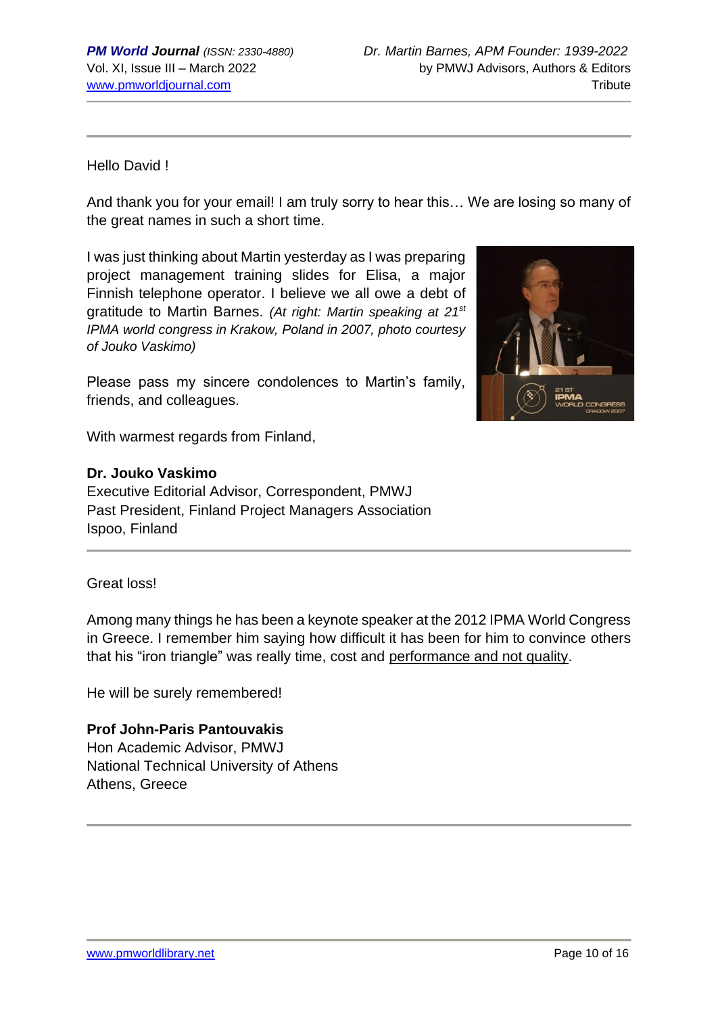# Hello David !

And thank you for your email! I am truly sorry to hear this… We are losing so many of the great names in such a short time.

I was just thinking about Martin yesterday as I was preparing project management training slides for Elisa, a major Finnish telephone operator. I believe we all owe a debt of gratitude to Martin Barnes. *(At right: Martin speaking at 21st IPMA world congress in Krakow, Poland in 2007, photo courtesy of Jouko Vaskimo)*

Please pass my sincere condolences to Martin's family, friends, and colleagues.

With warmest regards from Finland,

## **Dr. Jouko Vaskimo**

Executive Editorial Advisor, Correspondent, PMWJ Past President, Finland Project Managers Association Ispoo, Finland



Among many things he has been a keynote speaker at the 2012 IPMA World Congress in Greece. I remember him saying how difficult it has been for him to convince others that his "iron triangle" was really time, cost and performance and not quality.

He will be surely remembered!

#### **Prof John-Paris Pantouvakis**

Hon Academic Advisor, PMWJ National Technical University of Athens Athens, Greece

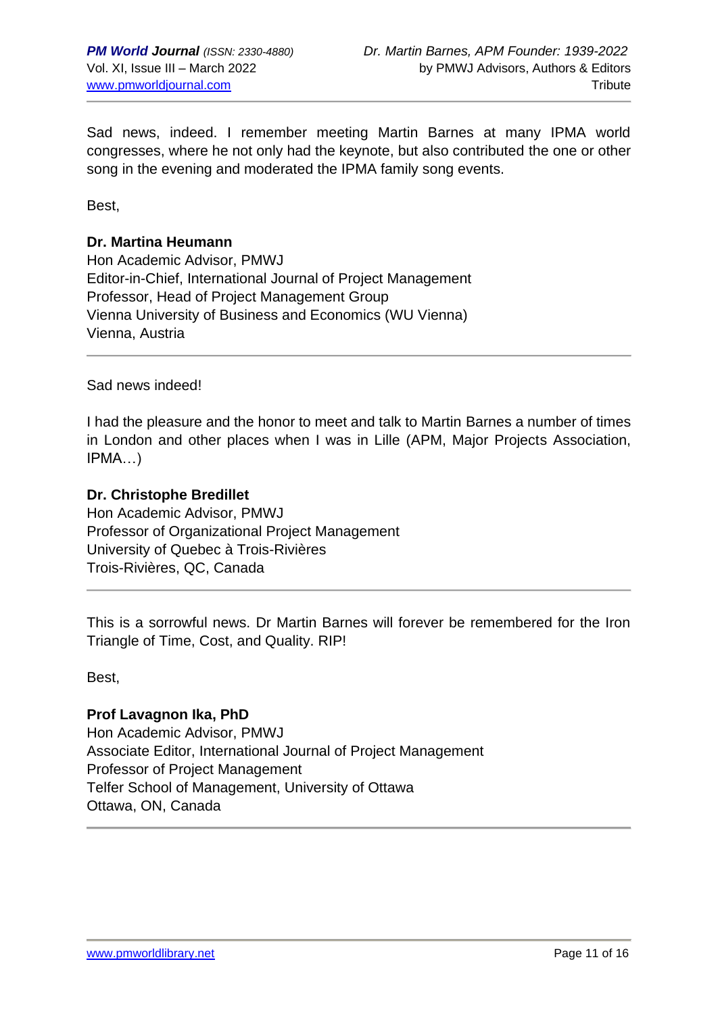Sad news, indeed. I remember meeting Martin Barnes at many IPMA world congresses, where he not only had the keynote, but also contributed the one or other song in the evening and moderated the IPMA family song events.

Best,

## **Dr. Martina Heumann**

Hon Academic Advisor, PMWJ Editor-in-Chief, International Journal of Project Management Professor, Head of Project Management Group Vienna University of Business and Economics (WU Vienna) Vienna, Austria

Sad news indeed!

I had the pleasure and the honor to meet and talk to Martin Barnes a number of times in London and other places when I was in Lille (APM, Major Projects Association, IPMA…)

## **Dr. Christophe Bredillet**

Hon Academic Advisor, PMWJ Professor of Organizational Project Management University of Quebec à Trois-Rivières Trois-Rivières, QC, Canada

This is a sorrowful news. Dr Martin Barnes will forever be remembered for the Iron Triangle of Time, Cost, and Quality. RIP!

Best,

**Prof Lavagnon Ika, PhD** Hon Academic Advisor, PMWJ Associate Editor, International Journal of Project Management Professor of Project Management Telfer School of Management, University of Ottawa Ottawa, ON, Canada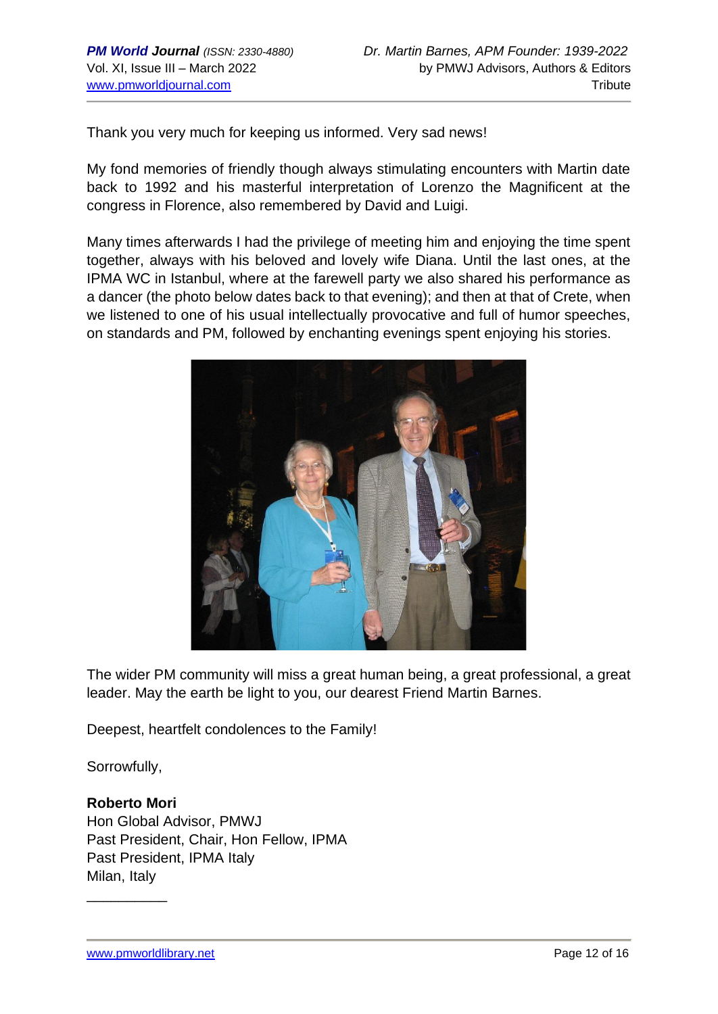Thank you very much for keeping us informed. Very sad news!

My fond memories of friendly though always stimulating encounters with Martin date back to 1992 and his masterful interpretation of Lorenzo the Magnificent at the congress in Florence, also remembered by David and Luigi.

Many times afterwards I had the privilege of meeting him and enjoying the time spent together, always with his beloved and lovely wife Diana. Until the last ones, at the IPMA WC in Istanbul, where at the farewell party we also shared his performance as a dancer (the photo below dates back to that evening); and then at that of Crete, when we listened to one of his usual intellectually provocative and full of humor speeches, on standards and PM, followed by enchanting evenings spent enjoying his stories.



The wider PM community will miss a great human being, a great professional, a great leader. May the earth be light to you, our dearest Friend Martin Barnes.

Deepest, heartfelt condolences to the Family!

Sorrowfully,

# **Roberto Mori**

\_\_\_\_\_\_\_\_\_\_

Hon Global Advisor, PMWJ Past President, Chair, Hon Fellow, IPMA Past President, IPMA Italy Milan, Italy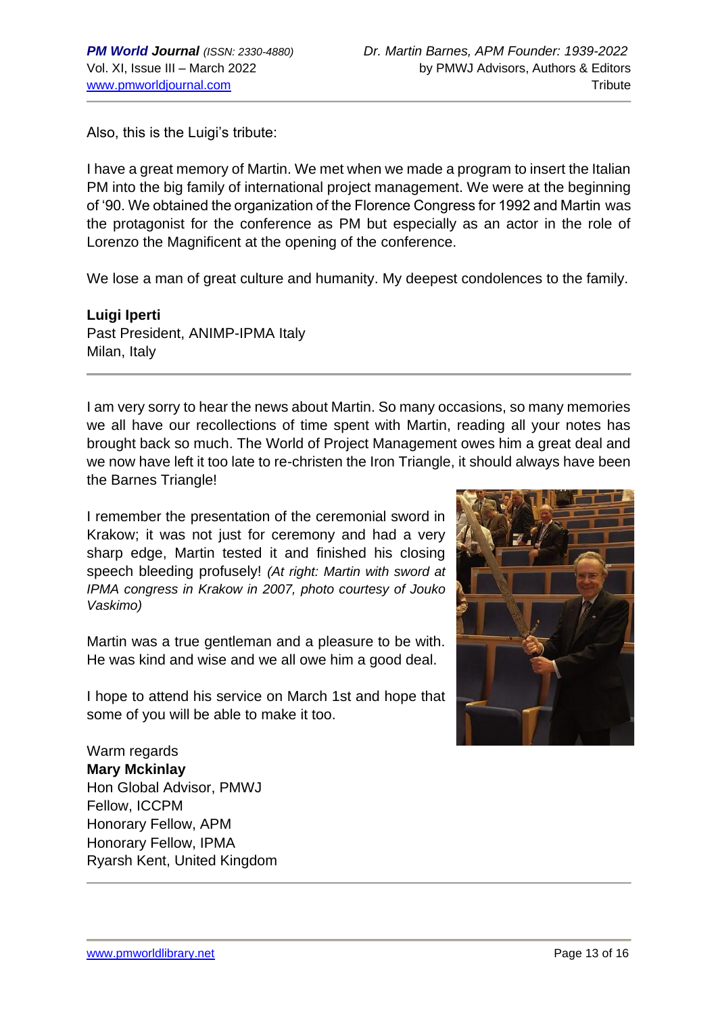Also, this is the Luigi's tribute:

I have a great memory of Martin. We met when we made a program to insert the Italian PM into the big family of international project management. We were at the beginning of '90. We obtained the organization of the Florence Congress for 1992 and Martin was the protagonist for the conference as PM but especially as an actor in the role of Lorenzo the Magnificent at the opening of the conference.

We lose a man of great culture and humanity. My deepest condolences to the family.

**Luigi Iperti** Past President, ANIMP-IPMA Italy Milan, Italy

I am very sorry to hear the news about Martin. So many occasions, so many memories we all have our recollections of time spent with Martin, reading all your notes has brought back so much. The World of Project Management owes him a great deal and we now have left it too late to re-christen the Iron Triangle, it should always have been the Barnes Triangle!

I remember the presentation of the ceremonial sword in Krakow; it was not just for ceremony and had a very sharp edge, Martin tested it and finished his closing speech bleeding profusely! *(At right: Martin with sword at IPMA congress in Krakow in 2007, photo courtesy of Jouko Vaskimo)*

Martin was a true gentleman and a pleasure to be with. He was kind and wise and we all owe him a good deal.

I hope to attend his service on March 1st and hope that some of you will be able to make it too.

Warm regards **Mary Mckinlay** Hon Global Advisor, PMWJ Fellow, ICCPM Honorary Fellow, APM Honorary Fellow, IPMA Ryarsh Kent, United Kingdom

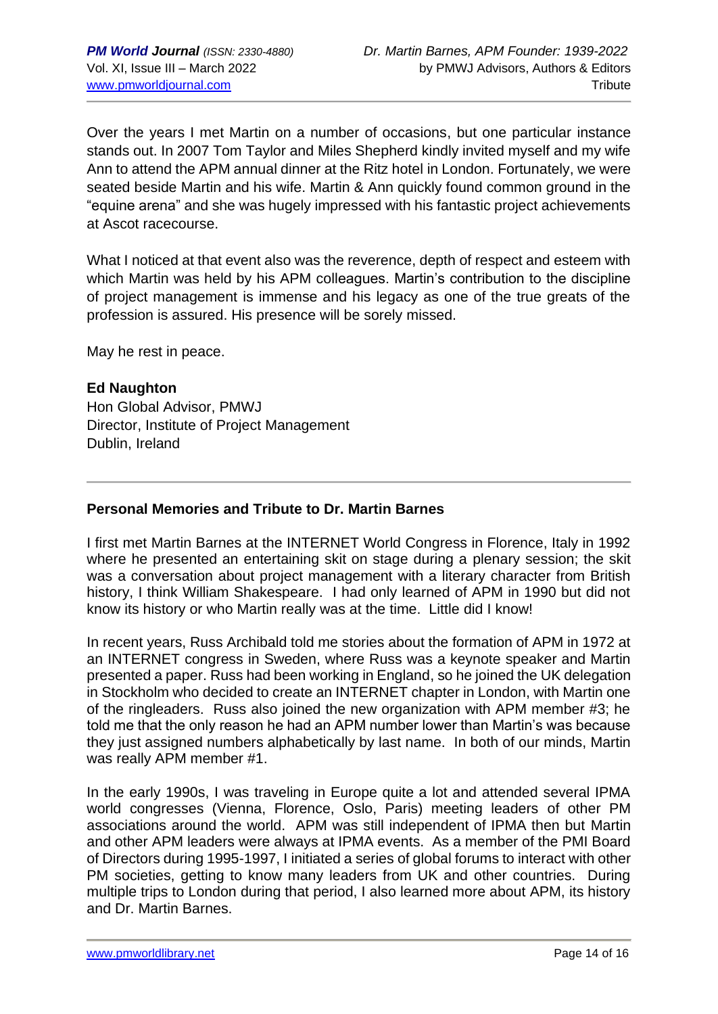Over the years I met Martin on a number of occasions, but one particular instance stands out. In 2007 Tom Taylor and Miles Shepherd kindly invited myself and my wife Ann to attend the APM annual dinner at the Ritz hotel in London. Fortunately, we were seated beside Martin and his wife. Martin & Ann quickly found common ground in the "equine arena" and she was hugely impressed with his fantastic project achievements at Ascot racecourse.

What I noticed at that event also was the reverence, depth of respect and esteem with which Martin was held by his APM colleagues. Martin's contribution to the discipline of project management is immense and his legacy as one of the true greats of the profession is assured. His presence will be sorely missed.

May he rest in peace.

# **Ed Naughton**

Hon Global Advisor, PMWJ Director, Institute of Project Management Dublin, Ireland

# **Personal Memories and Tribute to Dr. Martin Barnes**

I first met Martin Barnes at the INTERNET World Congress in Florence, Italy in 1992 where he presented an entertaining skit on stage during a plenary session; the skit was a conversation about project management with a literary character from British history, I think William Shakespeare. I had only learned of APM in 1990 but did not know its history or who Martin really was at the time. Little did I know!

In recent years, Russ Archibald told me stories about the formation of APM in 1972 at an INTERNET congress in Sweden, where Russ was a keynote speaker and Martin presented a paper. Russ had been working in England, so he joined the UK delegation in Stockholm who decided to create an INTERNET chapter in London, with Martin one of the ringleaders. Russ also joined the new organization with APM member #3; he told me that the only reason he had an APM number lower than Martin's was because they just assigned numbers alphabetically by last name. In both of our minds, Martin was really APM member #1.

In the early 1990s, I was traveling in Europe quite a lot and attended several IPMA world congresses (Vienna, Florence, Oslo, Paris) meeting leaders of other PM associations around the world. APM was still independent of IPMA then but Martin and other APM leaders were always at IPMA events. As a member of the PMI Board of Directors during 1995-1997, I initiated a series of global forums to interact with other PM societies, getting to know many leaders from UK and other countries. During multiple trips to London during that period, I also learned more about APM, its history and Dr. Martin Barnes.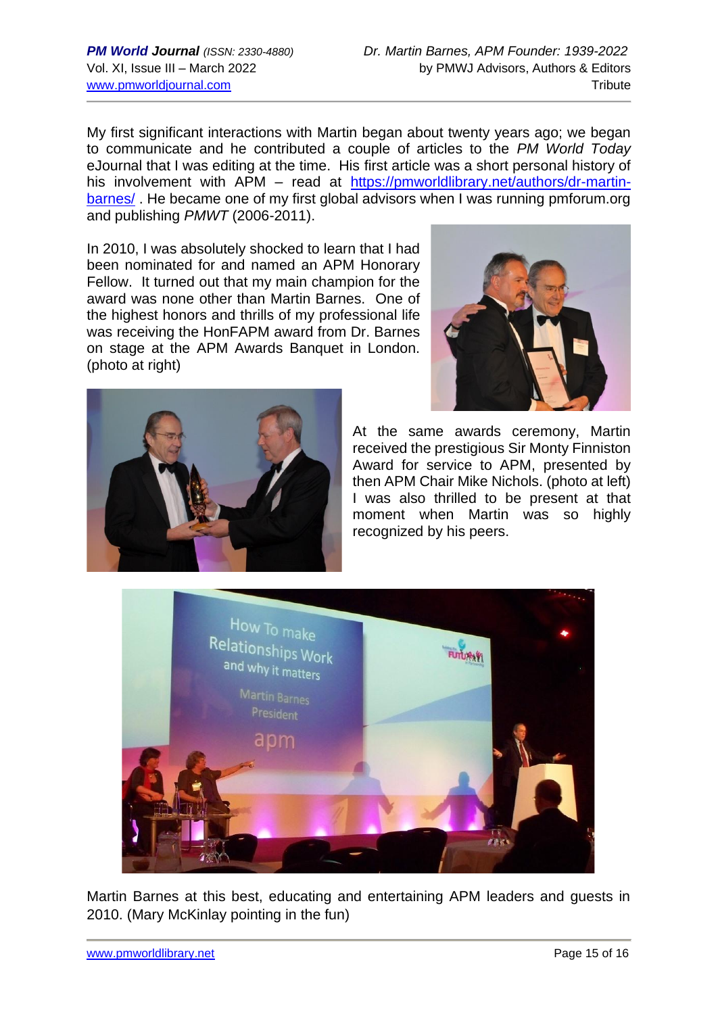My first significant interactions with Martin began about twenty years ago; we began to communicate and he contributed a couple of articles to the *PM World Today* eJournal that I was editing at the time. His first article was a short personal history of his involvement with APM – read at [https://pmworldlibrary.net/authors/dr-martin](https://pmworldlibrary.net/authors/dr-martin-barnes/)[barnes/](https://pmworldlibrary.net/authors/dr-martin-barnes/) . He became one of my first global advisors when I was running pmforum.org and publishing *PMWT* (2006-2011).

In 2010, I was absolutely shocked to learn that I had been nominated for and named an APM Honorary Fellow. It turned out that my main champion for the award was none other than Martin Barnes. One of the highest honors and thrills of my professional life was receiving the HonFAPM award from Dr. Barnes on stage at the APM Awards Banquet in London. (photo at right)





At the same awards ceremony, Martin received the prestigious Sir Monty Finniston Award for service to APM, presented by then APM Chair Mike Nichols. (photo at left) I was also thrilled to be present at that moment when Martin was so highly recognized by his peers.



Martin Barnes at this best, educating and entertaining APM leaders and guests in 2010. (Mary McKinlay pointing in the fun)